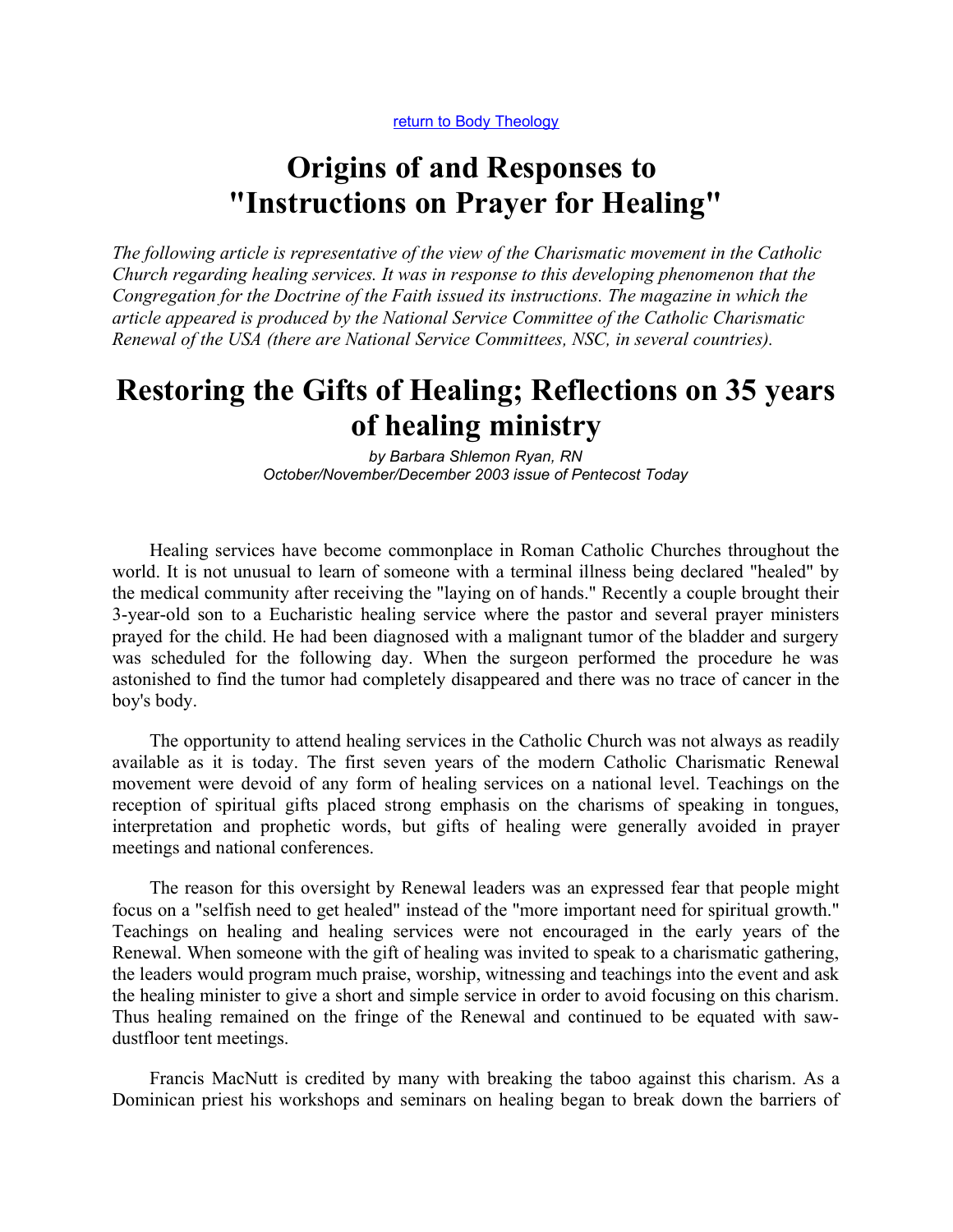return to Body Theology

# Origins of and Responses to "Instructions on Prayer for Healing"

The following article is representative of the view of the Charismatic movement in the Catholic Church regarding healing services. It was in response to this developing phenomenon that the Congregation for the Doctrine of the Faith issued its instructions. The magazine in which the article appeared is produced by the National Service Committee of the Catholic Charismatic Renewal of the USA (there are National Service Committees, NSC, in several countries).

## Restoring the Gifts of Healing; Reflections on 35 years of healing ministry

by Barbara Shlemon Ryan, RN October/November/December 2003 issue of Pentecost Today

Healing services have become commonplace in Roman Catholic Churches throughout the world. It is not unusual to learn of someone with a terminal illness being declared "healed" by the medical community after receiving the "laying on of hands." Recently a couple brought their 3-year-old son to a Eucharistic healing service where the pastor and several prayer ministers prayed for the child. He had been diagnosed with a malignant tumor of the bladder and surgery was scheduled for the following day. When the surgeon performed the procedure he was astonished to find the tumor had completely disappeared and there was no trace of cancer in the boy's body.

The opportunity to attend healing services in the Catholic Church was not always as readily available as it is today. The first seven years of the modern Catholic Charismatic Renewal movement were devoid of any form of healing services on a national level. Teachings on the reception of spiritual gifts placed strong emphasis on the charisms of speaking in tongues, interpretation and prophetic words, but gifts of healing were generally avoided in prayer meetings and national conferences.

The reason for this oversight by Renewal leaders was an expressed fear that people might focus on a "selfish need to get healed" instead of the "more important need for spiritual growth." Teachings on healing and healing services were not encouraged in the early years of the Renewal. When someone with the gift of healing was invited to speak to a charismatic gathering, the leaders would program much praise, worship, witnessing and teachings into the event and ask the healing minister to give a short and simple service in order to avoid focusing on this charism. Thus healing remained on the fringe of the Renewal and continued to be equated with sawdustfloor tent meetings.

Francis MacNutt is credited by many with breaking the taboo against this charism. As a Dominican priest his workshops and seminars on healing began to break down the barriers of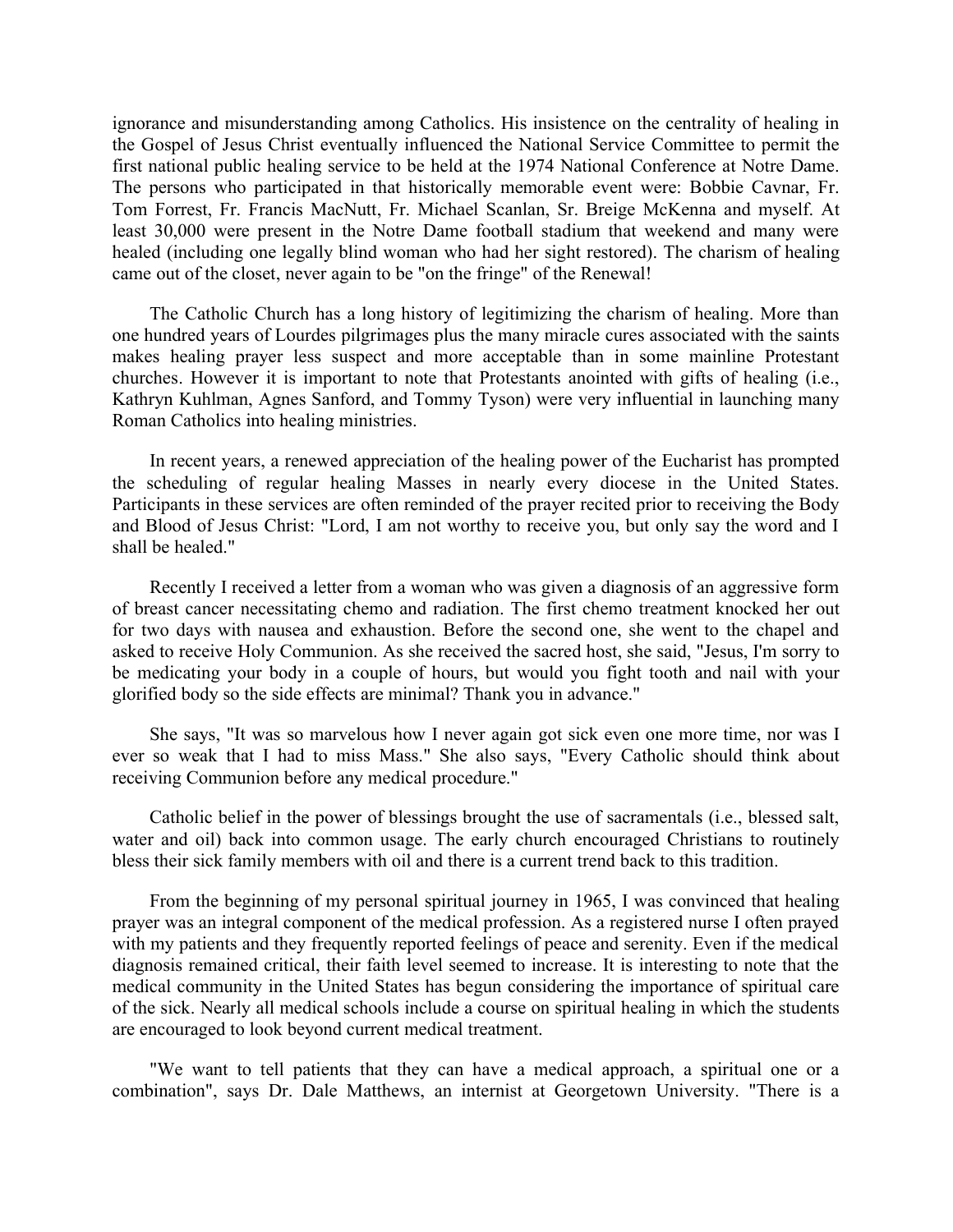ignorance and misunderstanding among Catholics. His insistence on the centrality of healing in the Gospel of Jesus Christ eventually influenced the National Service Committee to permit the first national public healing service to be held at the 1974 National Conference at Notre Dame. The persons who participated in that historically memorable event were: Bobbie Cavnar, Fr. Tom Forrest, Fr. Francis MacNutt, Fr. Michael Scanlan, Sr. Breige McKenna and myself. At least 30,000 were present in the Notre Dame football stadium that weekend and many were healed (including one legally blind woman who had her sight restored). The charism of healing came out of the closet, never again to be "on the fringe" of the Renewal!

The Catholic Church has a long history of legitimizing the charism of healing. More than one hundred years of Lourdes pilgrimages plus the many miracle cures associated with the saints makes healing prayer less suspect and more acceptable than in some mainline Protestant churches. However it is important to note that Protestants anointed with gifts of healing (i.e., Kathryn Kuhlman, Agnes Sanford, and Tommy Tyson) were very influential in launching many Roman Catholics into healing ministries.

In recent years, a renewed appreciation of the healing power of the Eucharist has prompted the scheduling of regular healing Masses in nearly every diocese in the United States. Participants in these services are often reminded of the prayer recited prior to receiving the Body and Blood of Jesus Christ: "Lord, I am not worthy to receive you, but only say the word and I shall be healed."

Recently I received a letter from a woman who was given a diagnosis of an aggressive form of breast cancer necessitating chemo and radiation. The first chemo treatment knocked her out for two days with nausea and exhaustion. Before the second one, she went to the chapel and asked to receive Holy Communion. As she received the sacred host, she said, "Jesus, I'm sorry to be medicating your body in a couple of hours, but would you fight tooth and nail with your glorified body so the side effects are minimal? Thank you in advance."

She says, "It was so marvelous how I never again got sick even one more time, nor was I ever so weak that I had to miss Mass." She also says, "Every Catholic should think about receiving Communion before any medical procedure."

Catholic belief in the power of blessings brought the use of sacramentals (i.e., blessed salt, water and oil) back into common usage. The early church encouraged Christians to routinely bless their sick family members with oil and there is a current trend back to this tradition.

From the beginning of my personal spiritual journey in 1965, I was convinced that healing prayer was an integral component of the medical profession. As a registered nurse I often prayed with my patients and they frequently reported feelings of peace and serenity. Even if the medical diagnosis remained critical, their faith level seemed to increase. It is interesting to note that the medical community in the United States has begun considering the importance of spiritual care of the sick. Nearly all medical schools include a course on spiritual healing in which the students are encouraged to look beyond current medical treatment.

"We want to tell patients that they can have a medical approach, a spiritual one or a combination", says Dr. Dale Matthews, an internist at Georgetown University. "There is a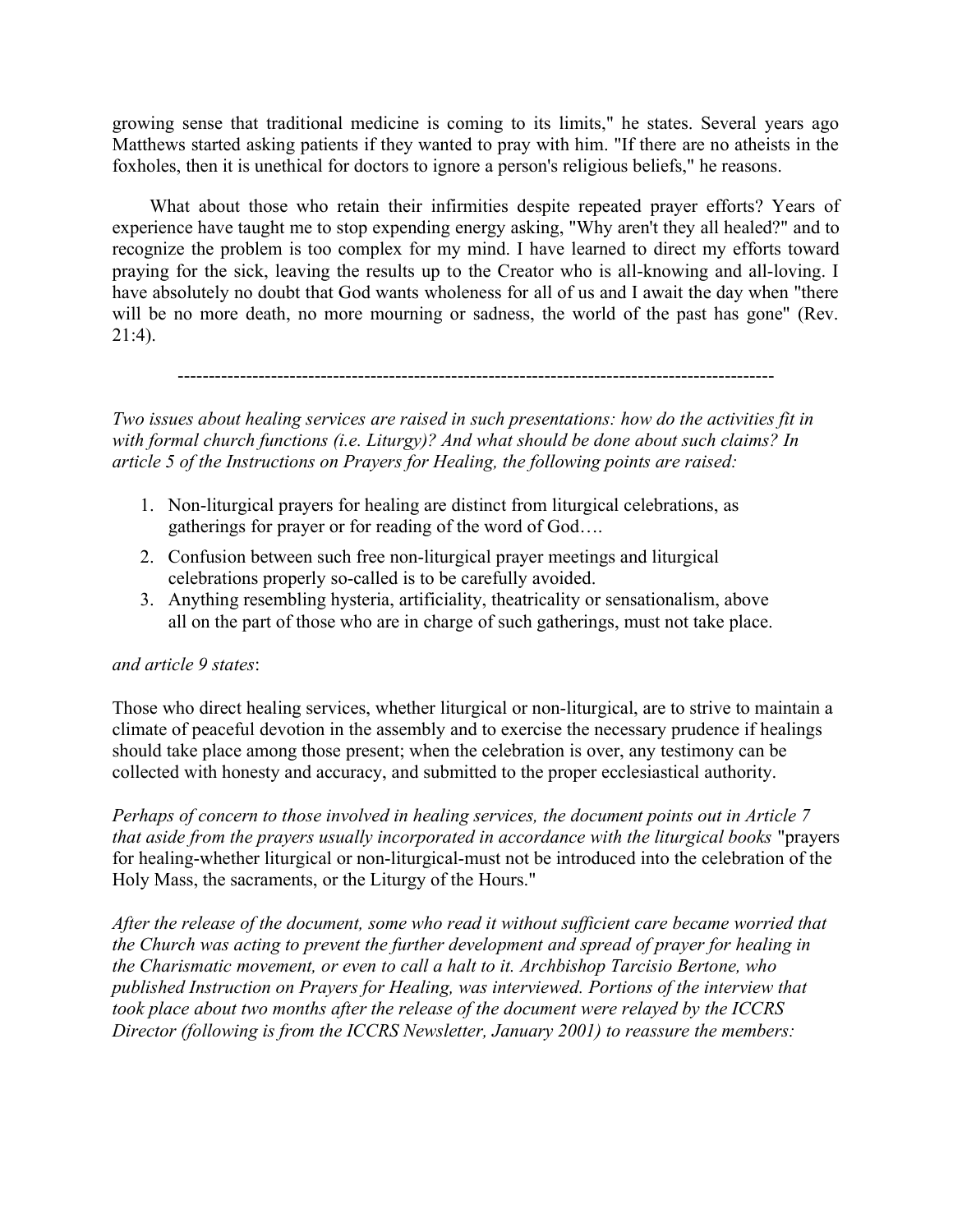growing sense that traditional medicine is coming to its limits," he states. Several years ago Matthews started asking patients if they wanted to pray with him. "If there are no atheists in the foxholes, then it is unethical for doctors to ignore a person's religious beliefs," he reasons.

What about those who retain their infirmities despite repeated prayer efforts? Years of experience have taught me to stop expending energy asking, "Why aren't they all healed?" and to recognize the problem is too complex for my mind. I have learned to direct my efforts toward praying for the sick, leaving the results up to the Creator who is all-knowing and all-loving. I have absolutely no doubt that God wants wholeness for all of us and I await the day when "there will be no more death, no more mourning or sadness, the world of the past has gone" (Rev. 21:4).

------------------------------------------------------------------------------------------------

Two issues about healing services are raised in such presentations: how do the activities fit in with formal church functions (i.e. Liturgy)? And what should be done about such claims? In article 5 of the Instructions on Prayers for Healing, the following points are raised:

- 1. Non-liturgical prayers for healing are distinct from liturgical celebrations, as gatherings for prayer or for reading of the word of God….
- 2. Confusion between such free non-liturgical prayer meetings and liturgical celebrations properly so-called is to be carefully avoided.
- 3. Anything resembling hysteria, artificiality, theatricality or sensationalism, above all on the part of those who are in charge of such gatherings, must not take place.

#### and article 9 states:

Those who direct healing services, whether liturgical or non-liturgical, are to strive to maintain a climate of peaceful devotion in the assembly and to exercise the necessary prudence if healings should take place among those present; when the celebration is over, any testimony can be collected with honesty and accuracy, and submitted to the proper ecclesiastical authority.

Perhaps of concern to those involved in healing services, the document points out in Article 7 that aside from the prayers usually incorporated in accordance with the liturgical books "prayers for healing-whether liturgical or non-liturgical-must not be introduced into the celebration of the Holy Mass, the sacraments, or the Liturgy of the Hours."

After the release of the document, some who read it without sufficient care became worried that the Church was acting to prevent the further development and spread of prayer for healing in the Charismatic movement, or even to call a halt to it. Archbishop Tarcisio Bertone, who published Instruction on Prayers for Healing, was interviewed. Portions of the interview that took place about two months after the release of the document were relayed by the ICCRS Director (following is from the ICCRS Newsletter, January 2001) to reassure the members: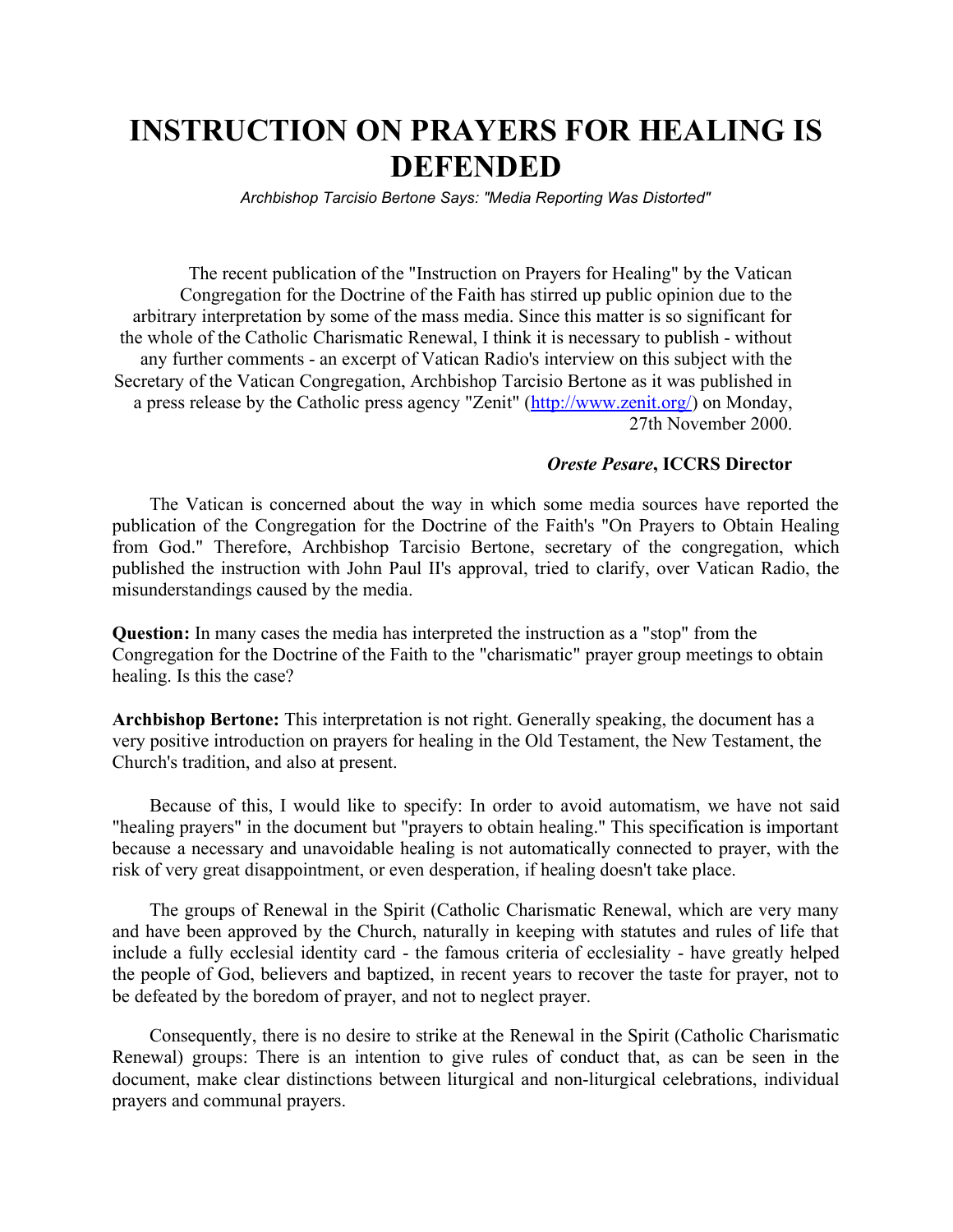# INSTRUCTION ON PRAYERS FOR HEALING IS DEFENDED

Archbishop Tarcisio Bertone Says: "Media Reporting Was Distorted"

The recent publication of the "Instruction on Prayers for Healing" by the Vatican Congregation for the Doctrine of the Faith has stirred up public opinion due to the arbitrary interpretation by some of the mass media. Since this matter is so significant for the whole of the Catholic Charismatic Renewal, I think it is necessary to publish - without any further comments - an excerpt of Vatican Radio's interview on this subject with the Secretary of the Vatican Congregation, Archbishop Tarcisio Bertone as it was published in a press release by the Catholic press agency "Zenit" (http://www.zenit.org/) on Monday, 27th November 2000.

#### Oreste Pesare, ICCRS Director

The Vatican is concerned about the way in which some media sources have reported the publication of the Congregation for the Doctrine of the Faith's "On Prayers to Obtain Healing from God." Therefore, Archbishop Tarcisio Bertone, secretary of the congregation, which published the instruction with John Paul II's approval, tried to clarify, over Vatican Radio, the misunderstandings caused by the media.

Question: In many cases the media has interpreted the instruction as a "stop" from the Congregation for the Doctrine of the Faith to the "charismatic" prayer group meetings to obtain healing. Is this the case?

Archbishop Bertone: This interpretation is not right. Generally speaking, the document has a very positive introduction on prayers for healing in the Old Testament, the New Testament, the Church's tradition, and also at present.

Because of this, I would like to specify: In order to avoid automatism, we have not said "healing prayers" in the document but "prayers to obtain healing." This specification is important because a necessary and unavoidable healing is not automatically connected to prayer, with the risk of very great disappointment, or even desperation, if healing doesn't take place.

The groups of Renewal in the Spirit (Catholic Charismatic Renewal, which are very many and have been approved by the Church, naturally in keeping with statutes and rules of life that include a fully ecclesial identity card - the famous criteria of ecclesiality - have greatly helped the people of God, believers and baptized, in recent years to recover the taste for prayer, not to be defeated by the boredom of prayer, and not to neglect prayer.

Consequently, there is no desire to strike at the Renewal in the Spirit (Catholic Charismatic Renewal) groups: There is an intention to give rules of conduct that, as can be seen in the document, make clear distinctions between liturgical and non-liturgical celebrations, individual prayers and communal prayers.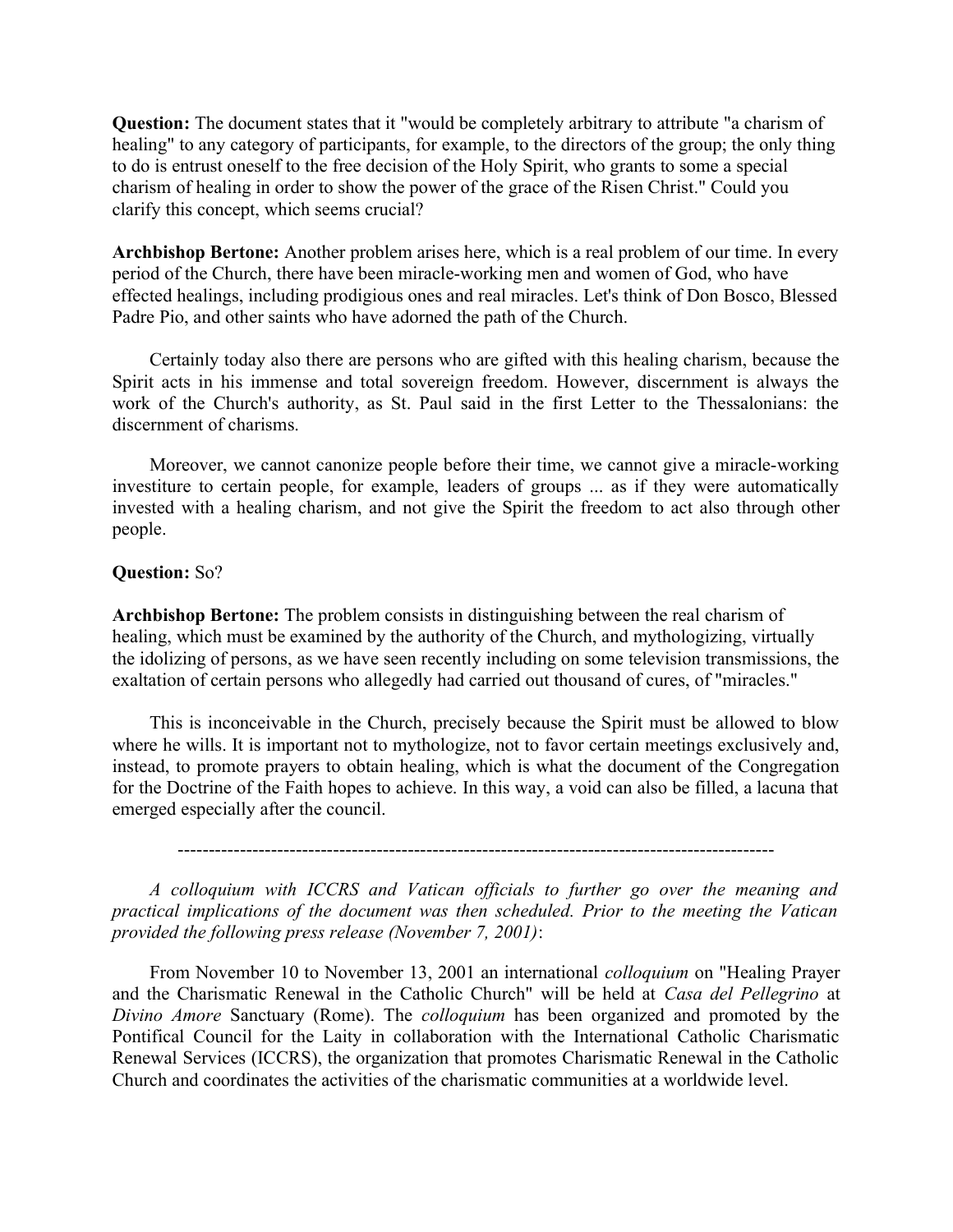Question: The document states that it "would be completely arbitrary to attribute "a charism of healing" to any category of participants, for example, to the directors of the group; the only thing to do is entrust oneself to the free decision of the Holy Spirit, who grants to some a special charism of healing in order to show the power of the grace of the Risen Christ." Could you clarify this concept, which seems crucial?

Archbishop Bertone: Another problem arises here, which is a real problem of our time. In every period of the Church, there have been miracle-working men and women of God, who have effected healings, including prodigious ones and real miracles. Let's think of Don Bosco, Blessed Padre Pio, and other saints who have adorned the path of the Church.

Certainly today also there are persons who are gifted with this healing charism, because the Spirit acts in his immense and total sovereign freedom. However, discernment is always the work of the Church's authority, as St. Paul said in the first Letter to the Thessalonians: the discernment of charisms.

Moreover, we cannot canonize people before their time, we cannot give a miracle-working investiture to certain people, for example, leaders of groups ... as if they were automatically invested with a healing charism, and not give the Spirit the freedom to act also through other people.

#### Question: So?

Archbishop Bertone: The problem consists in distinguishing between the real charism of healing, which must be examined by the authority of the Church, and mythologizing, virtually the idolizing of persons, as we have seen recently including on some television transmissions, the exaltation of certain persons who allegedly had carried out thousand of cures, of "miracles."

This is inconceivable in the Church, precisely because the Spirit must be allowed to blow where he wills. It is important not to mythologize, not to favor certain meetings exclusively and, instead, to promote prayers to obtain healing, which is what the document of the Congregation for the Doctrine of the Faith hopes to achieve. In this way, a void can also be filled, a lacuna that emerged especially after the council.

------------------------------------------------------------------------------------------------

A colloquium with ICCRS and Vatican officials to further go over the meaning and practical implications of the document was then scheduled. Prior to the meeting the Vatican provided the following press release (November 7, 2001):

From November 10 to November 13, 2001 an international *colloquium* on "Healing Prayer and the Charismatic Renewal in the Catholic Church" will be held at Casa del Pellegrino at Divino Amore Sanctuary (Rome). The colloquium has been organized and promoted by the Pontifical Council for the Laity in collaboration with the International Catholic Charismatic Renewal Services (ICCRS), the organization that promotes Charismatic Renewal in the Catholic Church and coordinates the activities of the charismatic communities at a worldwide level.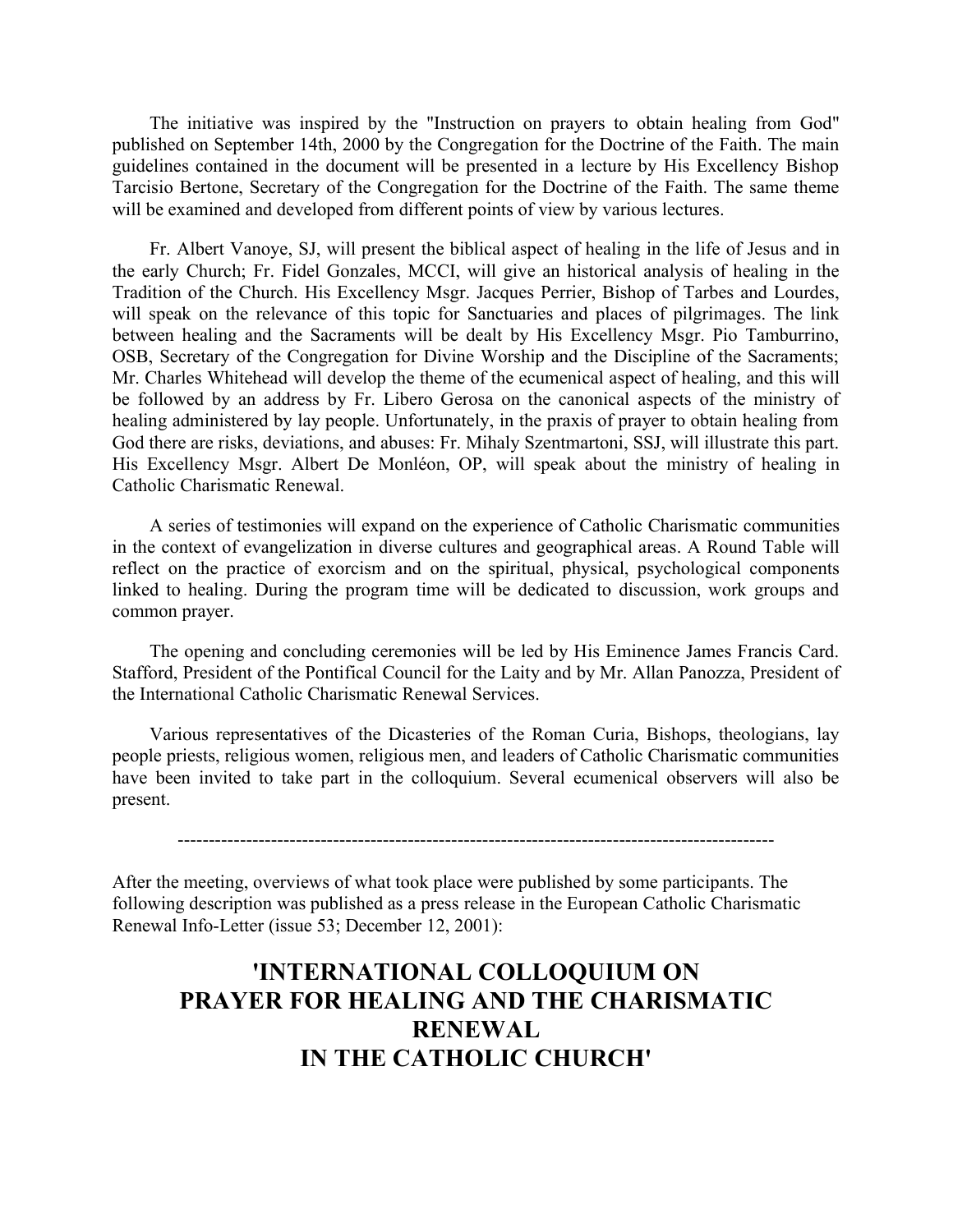The initiative was inspired by the "Instruction on prayers to obtain healing from God" published on September 14th, 2000 by the Congregation for the Doctrine of the Faith. The main guidelines contained in the document will be presented in a lecture by His Excellency Bishop Tarcisio Bertone, Secretary of the Congregation for the Doctrine of the Faith. The same theme will be examined and developed from different points of view by various lectures.

Fr. Albert Vanoye, SJ, will present the biblical aspect of healing in the life of Jesus and in the early Church; Fr. Fidel Gonzales, MCCI, will give an historical analysis of healing in the Tradition of the Church. His Excellency Msgr. Jacques Perrier, Bishop of Tarbes and Lourdes, will speak on the relevance of this topic for Sanctuaries and places of pilgrimages. The link between healing and the Sacraments will be dealt by His Excellency Msgr. Pio Tamburrino, OSB, Secretary of the Congregation for Divine Worship and the Discipline of the Sacraments; Mr. Charles Whitehead will develop the theme of the ecumenical aspect of healing, and this will be followed by an address by Fr. Libero Gerosa on the canonical aspects of the ministry of healing administered by lay people. Unfortunately, in the praxis of prayer to obtain healing from God there are risks, deviations, and abuses: Fr. Mihaly Szentmartoni, SSJ, will illustrate this part. His Excellency Msgr. Albert De Monléon, OP, will speak about the ministry of healing in Catholic Charismatic Renewal.

A series of testimonies will expand on the experience of Catholic Charismatic communities in the context of evangelization in diverse cultures and geographical areas. A Round Table will reflect on the practice of exorcism and on the spiritual, physical, psychological components linked to healing. During the program time will be dedicated to discussion, work groups and common prayer.

The opening and concluding ceremonies will be led by His Eminence James Francis Card. Stafford, President of the Pontifical Council for the Laity and by Mr. Allan Panozza, President of the International Catholic Charismatic Renewal Services.

Various representatives of the Dicasteries of the Roman Curia, Bishops, theologians, lay people priests, religious women, religious men, and leaders of Catholic Charismatic communities have been invited to take part in the colloquium. Several ecumenical observers will also be present.

------------------------------------------------------------------------------------------------

After the meeting, overviews of what took place were published by some participants. The following description was published as a press release in the European Catholic Charismatic Renewal Info-Letter (issue 53; December 12, 2001):

### 'INTERNATIONAL COLLOQUIUM ON PRAYER FOR HEALING AND THE CHARISMATIC RENEWAL IN THE CATHOLIC CHURCH'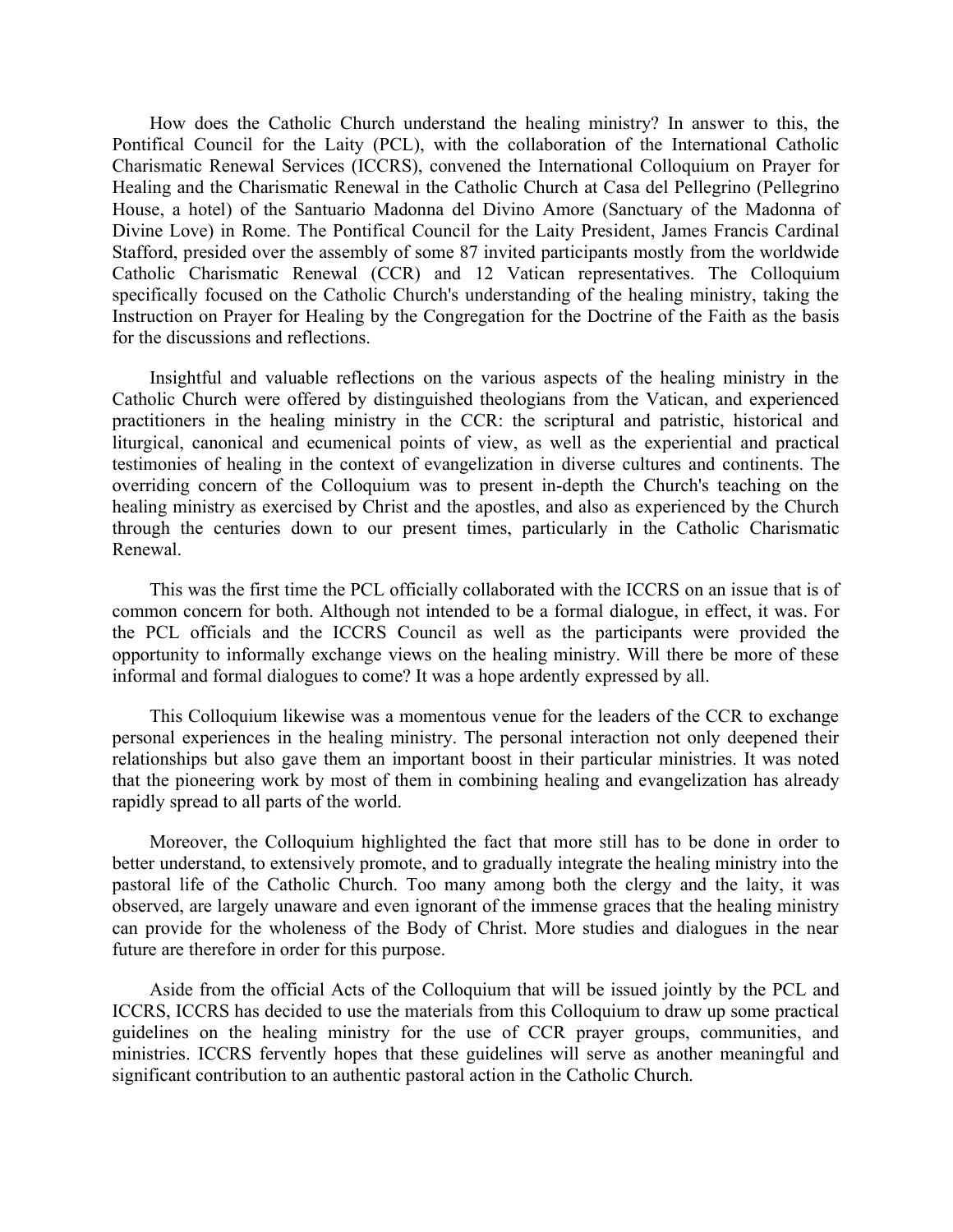How does the Catholic Church understand the healing ministry? In answer to this, the Pontifical Council for the Laity (PCL), with the collaboration of the International Catholic Charismatic Renewal Services (ICCRS), convened the International Colloquium on Prayer for Healing and the Charismatic Renewal in the Catholic Church at Casa del Pellegrino (Pellegrino House, a hotel) of the Santuario Madonna del Divino Amore (Sanctuary of the Madonna of Divine Love) in Rome. The Pontifical Council for the Laity President, James Francis Cardinal Stafford, presided over the assembly of some 87 invited participants mostly from the worldwide Catholic Charismatic Renewal (CCR) and 12 Vatican representatives. The Colloquium specifically focused on the Catholic Church's understanding of the healing ministry, taking the Instruction on Prayer for Healing by the Congregation for the Doctrine of the Faith as the basis for the discussions and reflections.

Insightful and valuable reflections on the various aspects of the healing ministry in the Catholic Church were offered by distinguished theologians from the Vatican, and experienced practitioners in the healing ministry in the CCR: the scriptural and patristic, historical and liturgical, canonical and ecumenical points of view, as well as the experiential and practical testimonies of healing in the context of evangelization in diverse cultures and continents. The overriding concern of the Colloquium was to present in-depth the Church's teaching on the healing ministry as exercised by Christ and the apostles, and also as experienced by the Church through the centuries down to our present times, particularly in the Catholic Charismatic Renewal.

This was the first time the PCL officially collaborated with the ICCRS on an issue that is of common concern for both. Although not intended to be a formal dialogue, in effect, it was. For the PCL officials and the ICCRS Council as well as the participants were provided the opportunity to informally exchange views on the healing ministry. Will there be more of these informal and formal dialogues to come? It was a hope ardently expressed by all.

This Colloquium likewise was a momentous venue for the leaders of the CCR to exchange personal experiences in the healing ministry. The personal interaction not only deepened their relationships but also gave them an important boost in their particular ministries. It was noted that the pioneering work by most of them in combining healing and evangelization has already rapidly spread to all parts of the world.

Moreover, the Colloquium highlighted the fact that more still has to be done in order to better understand, to extensively promote, and to gradually integrate the healing ministry into the pastoral life of the Catholic Church. Too many among both the clergy and the laity, it was observed, are largely unaware and even ignorant of the immense graces that the healing ministry can provide for the wholeness of the Body of Christ. More studies and dialogues in the near future are therefore in order for this purpose.

Aside from the official Acts of the Colloquium that will be issued jointly by the PCL and ICCRS, ICCRS has decided to use the materials from this Colloquium to draw up some practical guidelines on the healing ministry for the use of CCR prayer groups, communities, and ministries. ICCRS fervently hopes that these guidelines will serve as another meaningful and significant contribution to an authentic pastoral action in the Catholic Church.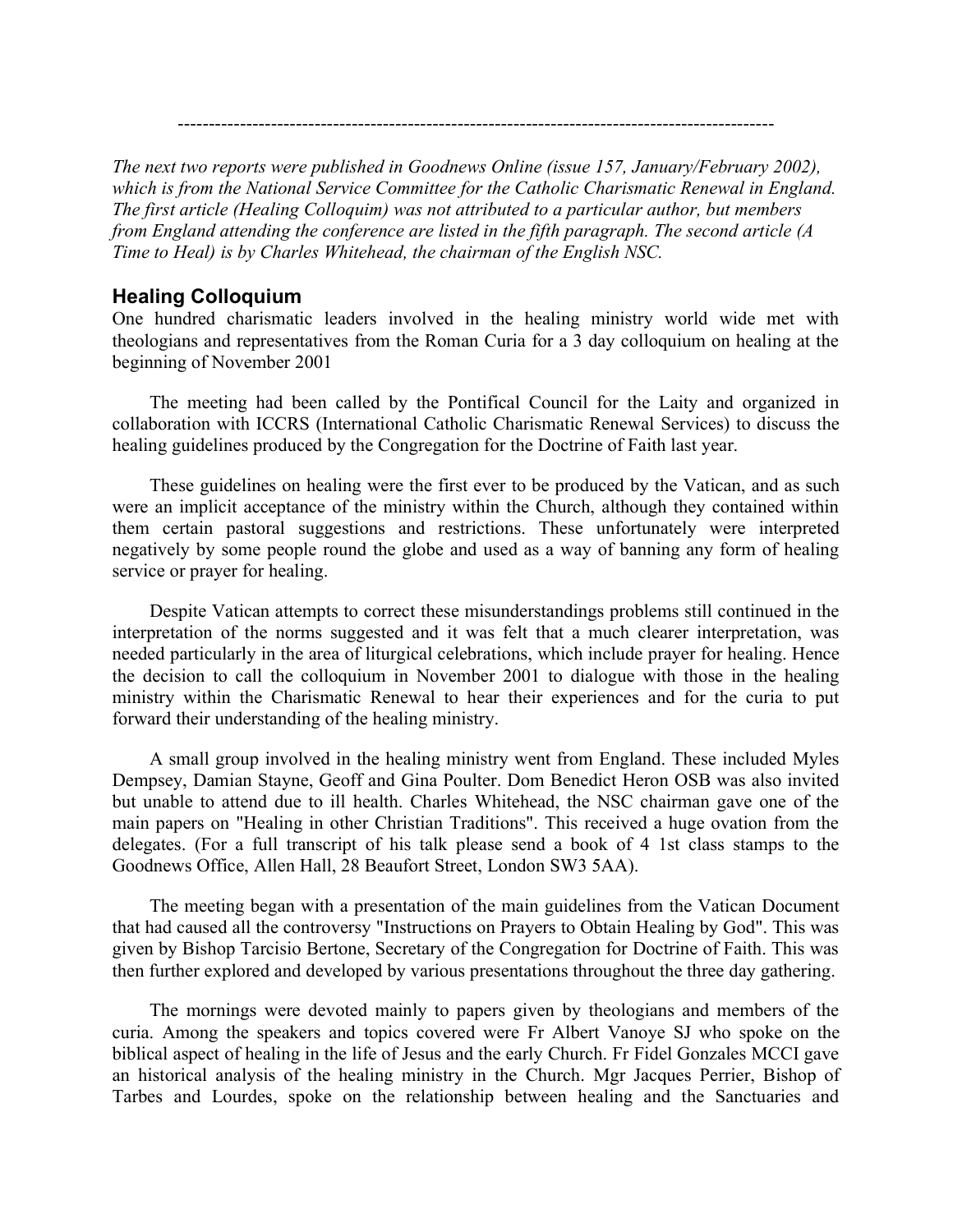------------------------------------------------------------------------------------------------

The next two reports were published in Goodnews Online (issue 157, January/February 2002), which is from the National Service Committee for the Catholic Charismatic Renewal in England. The first article (Healing Colloquim) was not attributed to a particular author, but members from England attending the conference are listed in the fifth paragraph. The second article (A Time to Heal) is by Charles Whitehead, the chairman of the English NSC.

#### Healing Colloquium

One hundred charismatic leaders involved in the healing ministry world wide met with theologians and representatives from the Roman Curia for a 3 day colloquium on healing at the beginning of November 2001

The meeting had been called by the Pontifical Council for the Laity and organized in collaboration with ICCRS (International Catholic Charismatic Renewal Services) to discuss the healing guidelines produced by the Congregation for the Doctrine of Faith last year.

These guidelines on healing were the first ever to be produced by the Vatican, and as such were an implicit acceptance of the ministry within the Church, although they contained within them certain pastoral suggestions and restrictions. These unfortunately were interpreted negatively by some people round the globe and used as a way of banning any form of healing service or prayer for healing.

Despite Vatican attempts to correct these misunderstandings problems still continued in the interpretation of the norms suggested and it was felt that a much clearer interpretation, was needed particularly in the area of liturgical celebrations, which include prayer for healing. Hence the decision to call the colloquium in November 2001 to dialogue with those in the healing ministry within the Charismatic Renewal to hear their experiences and for the curia to put forward their understanding of the healing ministry.

A small group involved in the healing ministry went from England. These included Myles Dempsey, Damian Stayne, Geoff and Gina Poulter. Dom Benedict Heron OSB was also invited but unable to attend due to ill health. Charles Whitehead, the NSC chairman gave one of the main papers on "Healing in other Christian Traditions". This received a huge ovation from the delegates. (For a full transcript of his talk please send a book of 4 1st class stamps to the Goodnews Office, Allen Hall, 28 Beaufort Street, London SW3 5AA).

The meeting began with a presentation of the main guidelines from the Vatican Document that had caused all the controversy "Instructions on Prayers to Obtain Healing by God". This was given by Bishop Tarcisio Bertone, Secretary of the Congregation for Doctrine of Faith. This was then further explored and developed by various presentations throughout the three day gathering.

The mornings were devoted mainly to papers given by theologians and members of the curia. Among the speakers and topics covered were Fr Albert Vanoye SJ who spoke on the biblical aspect of healing in the life of Jesus and the early Church. Fr Fidel Gonzales MCCI gave an historical analysis of the healing ministry in the Church. Mgr Jacques Perrier, Bishop of Tarbes and Lourdes, spoke on the relationship between healing and the Sanctuaries and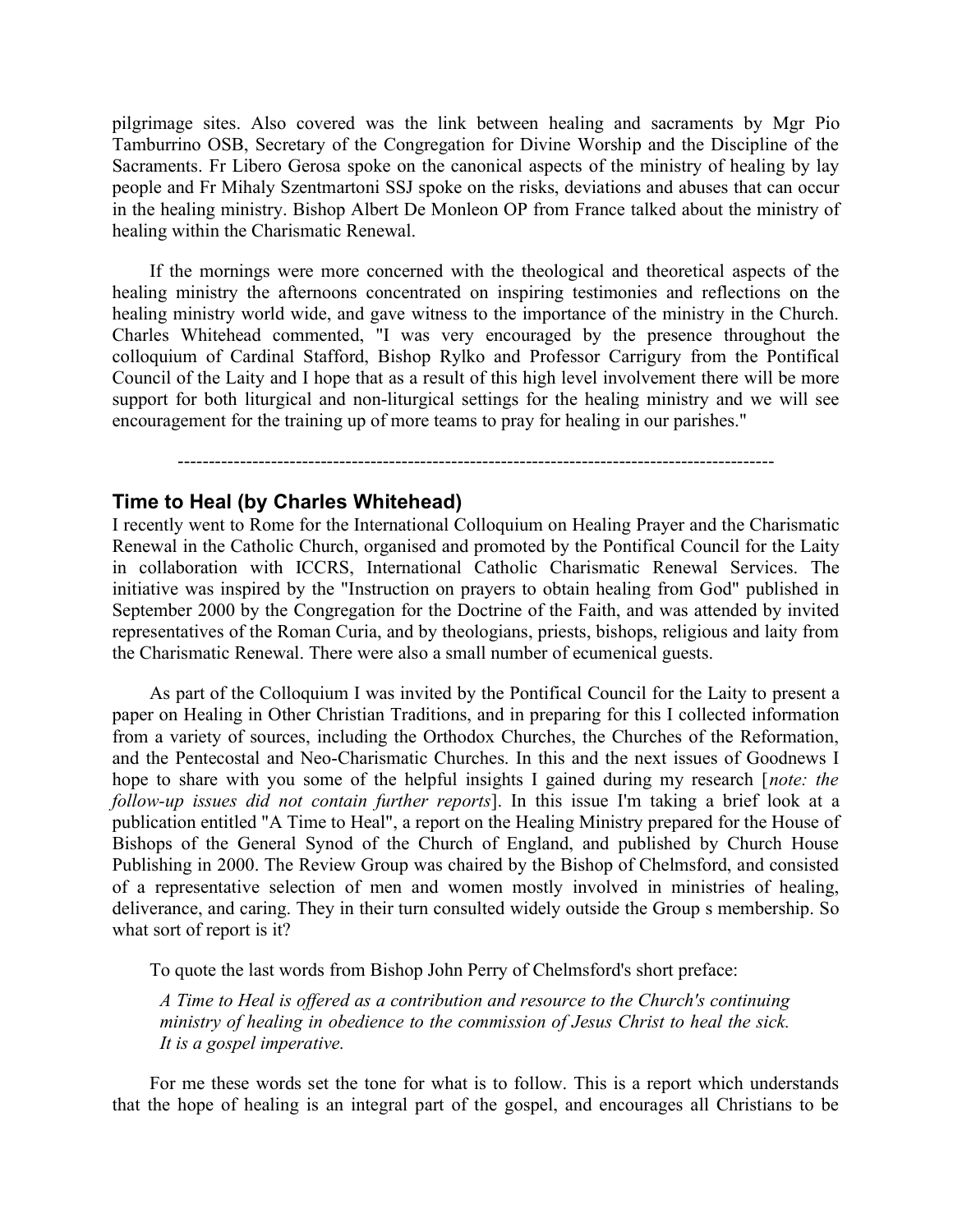pilgrimage sites. Also covered was the link between healing and sacraments by Mgr Pio Tamburrino OSB, Secretary of the Congregation for Divine Worship and the Discipline of the Sacraments. Fr Libero Gerosa spoke on the canonical aspects of the ministry of healing by lay people and Fr Mihaly Szentmartoni SSJ spoke on the risks, deviations and abuses that can occur in the healing ministry. Bishop Albert De Monleon OP from France talked about the ministry of healing within the Charismatic Renewal.

If the mornings were more concerned with the theological and theoretical aspects of the healing ministry the afternoons concentrated on inspiring testimonies and reflections on the healing ministry world wide, and gave witness to the importance of the ministry in the Church. Charles Whitehead commented, "I was very encouraged by the presence throughout the colloquium of Cardinal Stafford, Bishop Rylko and Professor Carrigury from the Pontifical Council of the Laity and I hope that as a result of this high level involvement there will be more support for both liturgical and non-liturgical settings for the healing ministry and we will see encouragement for the training up of more teams to pray for healing in our parishes."

------------------------------------------------------------------------------------------------

#### Time to Heal (by Charles Whitehead)

I recently went to Rome for the International Colloquium on Healing Prayer and the Charismatic Renewal in the Catholic Church, organised and promoted by the Pontifical Council for the Laity in collaboration with ICCRS, International Catholic Charismatic Renewal Services. The initiative was inspired by the "Instruction on prayers to obtain healing from God" published in September 2000 by the Congregation for the Doctrine of the Faith, and was attended by invited representatives of the Roman Curia, and by theologians, priests, bishops, religious and laity from the Charismatic Renewal. There were also a small number of ecumenical guests.

As part of the Colloquium I was invited by the Pontifical Council for the Laity to present a paper on Healing in Other Christian Traditions, and in preparing for this I collected information from a variety of sources, including the Orthodox Churches, the Churches of the Reformation, and the Pentecostal and Neo-Charismatic Churches. In this and the next issues of Goodnews I hope to share with you some of the helpful insights I gained during my research [note: the follow-up issues did not contain further reports]. In this issue I'm taking a brief look at a publication entitled "A Time to Heal", a report on the Healing Ministry prepared for the House of Bishops of the General Synod of the Church of England, and published by Church House Publishing in 2000. The Review Group was chaired by the Bishop of Chelmsford, and consisted of a representative selection of men and women mostly involved in ministries of healing, deliverance, and caring. They in their turn consulted widely outside the Group s membership. So what sort of report is it?

To quote the last words from Bishop John Perry of Chelmsford's short preface:

A Time to Heal is offered as a contribution and resource to the Church's continuing ministry of healing in obedience to the commission of Jesus Christ to heal the sick. It is a gospel imperative.

For me these words set the tone for what is to follow. This is a report which understands that the hope of healing is an integral part of the gospel, and encourages all Christians to be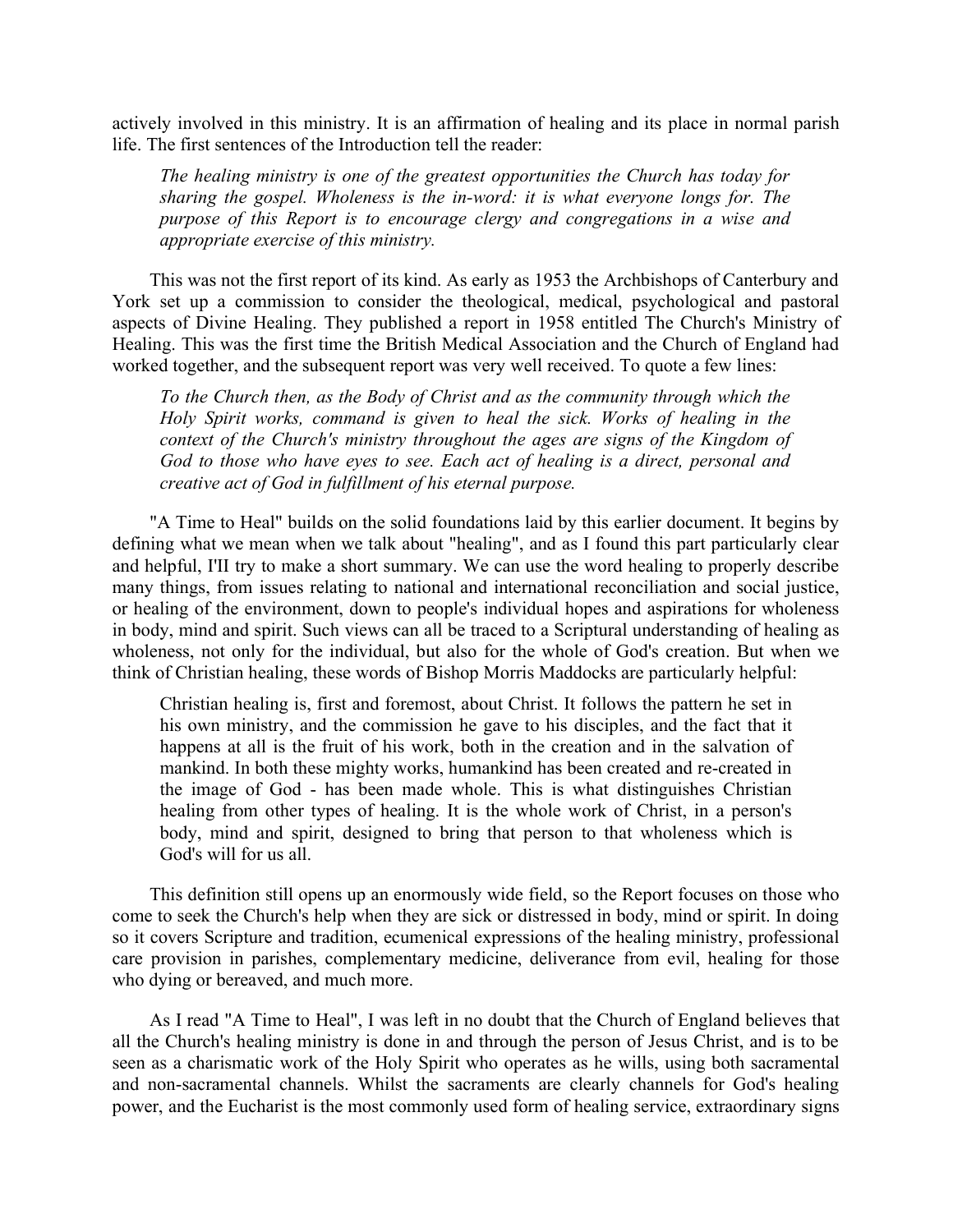actively involved in this ministry. It is an affirmation of healing and its place in normal parish life. The first sentences of the Introduction tell the reader:

The healing ministry is one of the greatest opportunities the Church has today for sharing the gospel. Wholeness is the in-word: it is what everyone longs for. The purpose of this Report is to encourage clergy and congregations in a wise and appropriate exercise of this ministry.

This was not the first report of its kind. As early as 1953 the Archbishops of Canterbury and York set up a commission to consider the theological, medical, psychological and pastoral aspects of Divine Healing. They published a report in 1958 entitled The Church's Ministry of Healing. This was the first time the British Medical Association and the Church of England had worked together, and the subsequent report was very well received. To quote a few lines:

To the Church then, as the Body of Christ and as the community through which the Holy Spirit works, command is given to heal the sick. Works of healing in the context of the Church's ministry throughout the ages are signs of the Kingdom of God to those who have eyes to see. Each act of healing is a direct, personal and creative act of God in fulfillment of his eternal purpose.

"A Time to Heal" builds on the solid foundations laid by this earlier document. It begins by defining what we mean when we talk about "healing", and as I found this part particularly clear and helpful, I'II try to make a short summary. We can use the word healing to properly describe many things, from issues relating to national and international reconciliation and social justice, or healing of the environment, down to people's individual hopes and aspirations for wholeness in body, mind and spirit. Such views can all be traced to a Scriptural understanding of healing as wholeness, not only for the individual, but also for the whole of God's creation. But when we think of Christian healing, these words of Bishop Morris Maddocks are particularly helpful:

Christian healing is, first and foremost, about Christ. It follows the pattern he set in his own ministry, and the commission he gave to his disciples, and the fact that it happens at all is the fruit of his work, both in the creation and in the salvation of mankind. In both these mighty works, humankind has been created and re-created in the image of God - has been made whole. This is what distinguishes Christian healing from other types of healing. It is the whole work of Christ, in a person's body, mind and spirit, designed to bring that person to that wholeness which is God's will for us all.

This definition still opens up an enormously wide field, so the Report focuses on those who come to seek the Church's help when they are sick or distressed in body, mind or spirit. In doing so it covers Scripture and tradition, ecumenical expressions of the healing ministry, professional care provision in parishes, complementary medicine, deliverance from evil, healing for those who dying or bereaved, and much more.

As I read "A Time to Heal", I was left in no doubt that the Church of England believes that all the Church's healing ministry is done in and through the person of Jesus Christ, and is to be seen as a charismatic work of the Holy Spirit who operates as he wills, using both sacramental and non-sacramental channels. Whilst the sacraments are clearly channels for God's healing power, and the Eucharist is the most commonly used form of healing service, extraordinary signs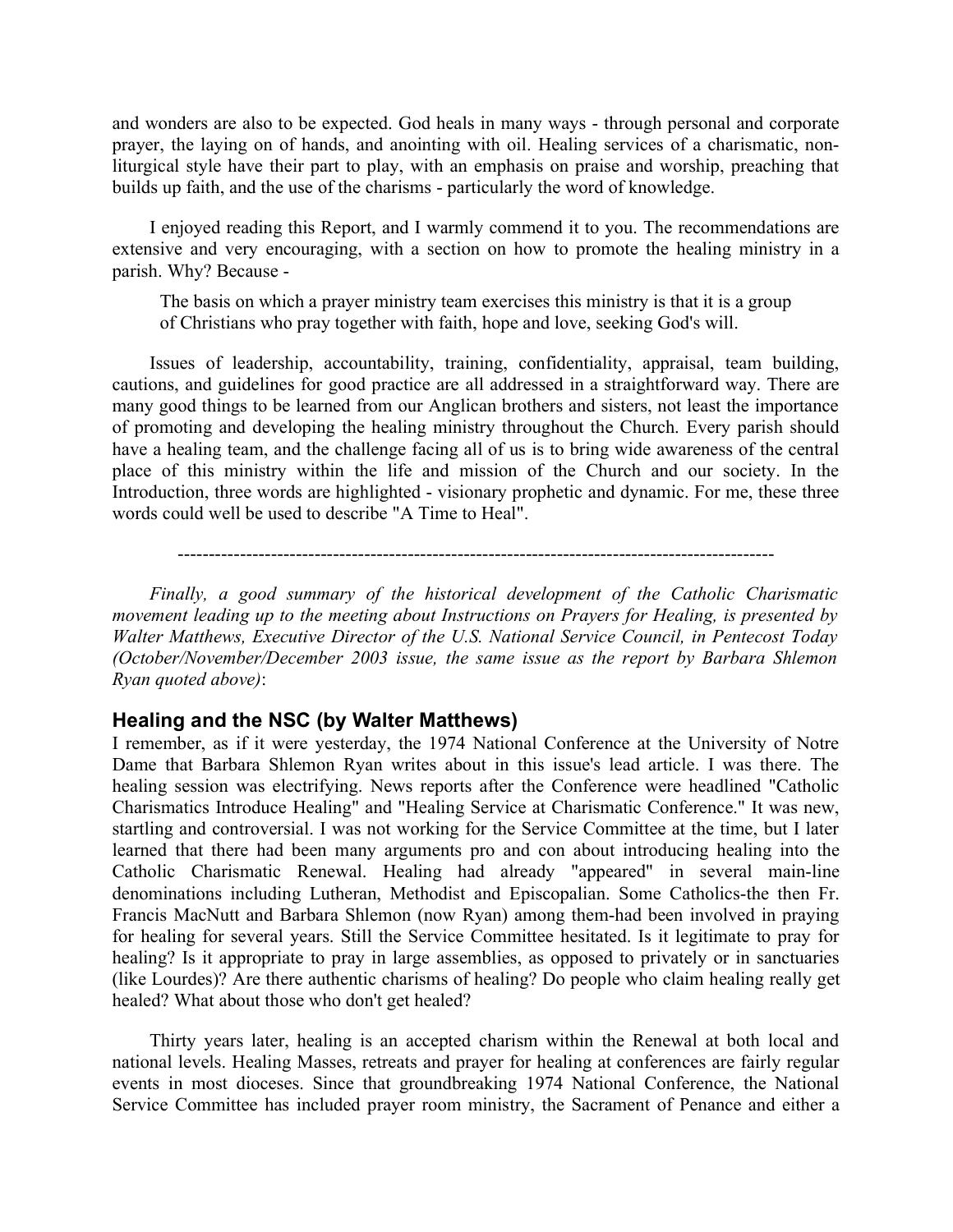and wonders are also to be expected. God heals in many ways - through personal and corporate prayer, the laying on of hands, and anointing with oil. Healing services of a charismatic, nonliturgical style have their part to play, with an emphasis on praise and worship, preaching that builds up faith, and the use of the charisms - particularly the word of knowledge.

I enjoyed reading this Report, and I warmly commend it to you. The recommendations are extensive and very encouraging, with a section on how to promote the healing ministry in a parish. Why? Because -

The basis on which a prayer ministry team exercises this ministry is that it is a group of Christians who pray together with faith, hope and love, seeking God's will.

Issues of leadership, accountability, training, confidentiality, appraisal, team building, cautions, and guidelines for good practice are all addressed in a straightforward way. There are many good things to be learned from our Anglican brothers and sisters, not least the importance of promoting and developing the healing ministry throughout the Church. Every parish should have a healing team, and the challenge facing all of us is to bring wide awareness of the central place of this ministry within the life and mission of the Church and our society. In the Introduction, three words are highlighted - visionary prophetic and dynamic. For me, these three words could well be used to describe "A Time to Heal".

------------------------------------------------------------------------------------------------

Finally, a good summary of the historical development of the Catholic Charismatic movement leading up to the meeting about Instructions on Prayers for Healing, is presented by Walter Matthews, Executive Director of the U.S. National Service Council, in Pentecost Today (October/November/December 2003 issue, the same issue as the report by Barbara Shlemon Ryan quoted above):

#### Healing and the NSC (by Walter Matthews)

I remember, as if it were yesterday, the 1974 National Conference at the University of Notre Dame that Barbara Shlemon Ryan writes about in this issue's lead article. I was there. The healing session was electrifying. News reports after the Conference were headlined "Catholic Charismatics Introduce Healing" and "Healing Service at Charismatic Conference." It was new, startling and controversial. I was not working for the Service Committee at the time, but I later learned that there had been many arguments pro and con about introducing healing into the Catholic Charismatic Renewal. Healing had already "appeared" in several main-line denominations including Lutheran, Methodist and Episcopalian. Some Catholics-the then Fr. Francis MacNutt and Barbara Shlemon (now Ryan) among them-had been involved in praying for healing for several years. Still the Service Committee hesitated. Is it legitimate to pray for healing? Is it appropriate to pray in large assemblies, as opposed to privately or in sanctuaries (like Lourdes)? Are there authentic charisms of healing? Do people who claim healing really get healed? What about those who don't get healed?

Thirty years later, healing is an accepted charism within the Renewal at both local and national levels. Healing Masses, retreats and prayer for healing at conferences are fairly regular events in most dioceses. Since that groundbreaking 1974 National Conference, the National Service Committee has included prayer room ministry, the Sacrament of Penance and either a